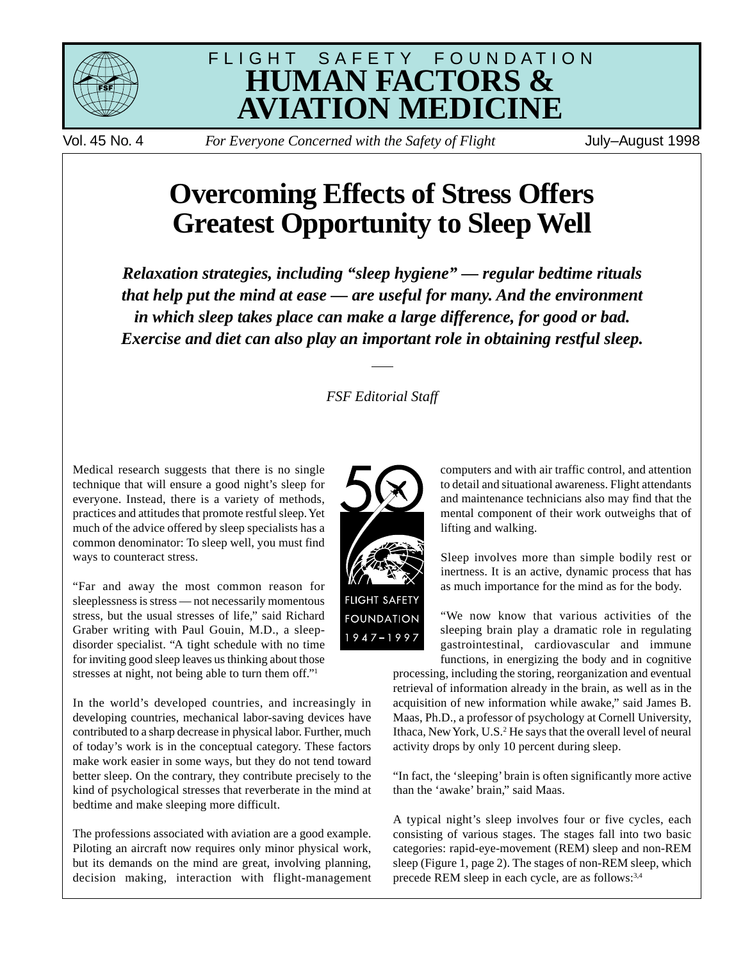



Vol. 45 No. 4 *For Everyone Concerned with the Safety of Flight* July–August 1998

# **Overcoming Effects of Stress Offers Greatest Opportunity to Sleep Well**

*Relaxation strategies, including "sleep hygiene" — regular bedtime rituals that help put the mind at ease — are useful for many. And the environment in which sleep takes place can make a large difference, for good or bad. Exercise and diet can also play an important role in obtaining restful sleep.*

# *FSF Editorial Staff*

Medical research suggests that there is no single technique that will ensure a good night's sleep for everyone. Instead, there is a variety of methods, practices and attitudes that promote restful sleep. Yet much of the advice offered by sleep specialists has a common denominator: To sleep well, you must find ways to counteract stress.

"Far and away the most common reason for sleeplessness is stress — not necessarily momentous stress, but the usual stresses of life," said Richard Graber writing with Paul Gouin, M.D., a sleepdisorder specialist. "A tight schedule with no time for inviting good sleep leaves us thinking about those stresses at night, not being able to turn them off."1

In the world's developed countries, and increasingly in developing countries, mechanical labor-saving devices have contributed to a sharp decrease in physical labor. Further, much of today's work is in the conceptual category. These factors make work easier in some ways, but they do not tend toward better sleep. On the contrary, they contribute precisely to the kind of psychological stresses that reverberate in the mind at bedtime and make sleeping more difficult.

The professions associated with aviation are a good example. Piloting an aircraft now requires only minor physical work, but its demands on the mind are great, involving planning, decision making, interaction with flight-management



computers and with air traffic control, and attention to detail and situational awareness. Flight attendants and maintenance technicians also may find that the mental component of their work outweighs that of lifting and walking.

Sleep involves more than simple bodily rest or inertness. It is an active, dynamic process that has as much importance for the mind as for the body.

"We now know that various activities of the sleeping brain play a dramatic role in regulating gastrointestinal, cardiovascular and immune functions, in energizing the body and in cognitive

processing, including the storing, reorganization and eventual retrieval of information already in the brain, as well as in the acquisition of new information while awake," said James B. Maas, Ph.D., a professor of psychology at Cornell University, Ithaca, New York, U.S.<sup>2</sup> He says that the overall level of neural activity drops by only 10 percent during sleep.

"In fact, the 'sleeping' brain is often significantly more active than the 'awake' brain," said Maas.

A typical night's sleep involves four or five cycles, each consisting of various stages. The stages fall into two basic categories: rapid-eye-movement (REM) sleep and non-REM sleep (Figure 1, page 2). The stages of non-REM sleep, which precede REM sleep in each cycle, are as follows:<sup>3,4</sup>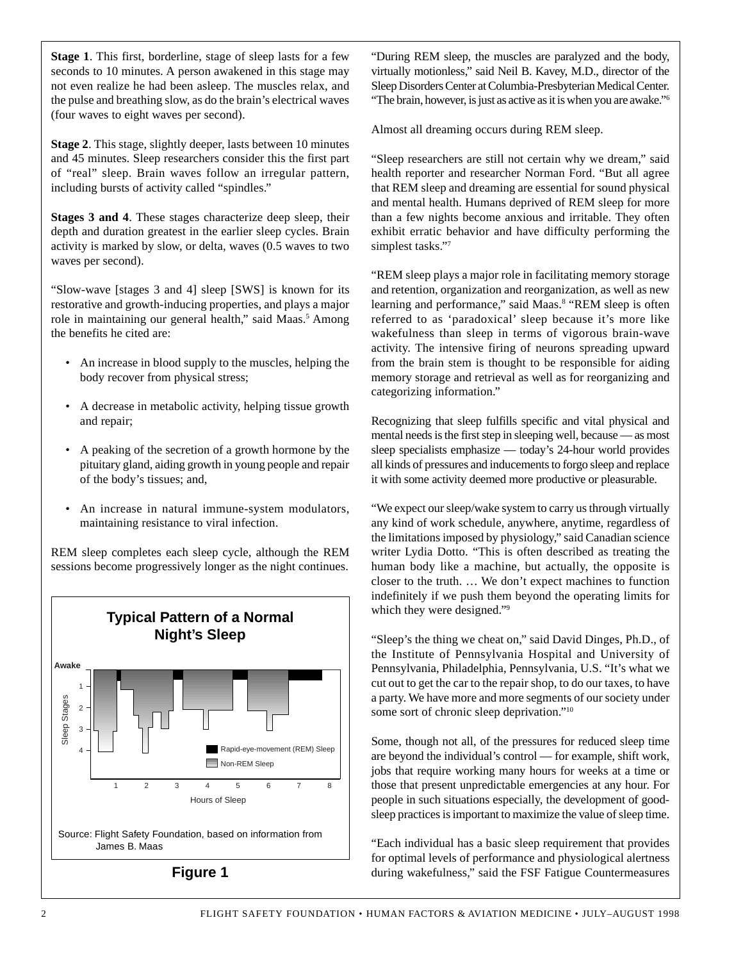**Stage 1**. This first, borderline, stage of sleep lasts for a few seconds to 10 minutes. A person awakened in this stage may not even realize he had been asleep. The muscles relax, and the pulse and breathing slow, as do the brain's electrical waves (four waves to eight waves per second).

**Stage 2**. This stage, slightly deeper, lasts between 10 minutes and 45 minutes. Sleep researchers consider this the first part of "real" sleep. Brain waves follow an irregular pattern, including bursts of activity called "spindles."

**Stages 3 and 4**. These stages characterize deep sleep, their depth and duration greatest in the earlier sleep cycles. Brain activity is marked by slow, or delta, waves (0.5 waves to two waves per second).

"Slow-wave [stages 3 and 4] sleep [SWS] is known for its restorative and growth-inducing properties, and plays a major role in maintaining our general health," said Maas.<sup>5</sup> Among the benefits he cited are:

- An increase in blood supply to the muscles, helping the body recover from physical stress;
- A decrease in metabolic activity, helping tissue growth and repair;
- A peaking of the secretion of a growth hormone by the pituitary gland, aiding growth in young people and repair of the body's tissues; and,
- An increase in natural immune-system modulators, maintaining resistance to viral infection.

REM sleep completes each sleep cycle, although the REM sessions become progressively longer as the night continues.



**Figure 1**

"During REM sleep, the muscles are paralyzed and the body, virtually motionless," said Neil B. Kavey, M.D., director of the Sleep Disorders Center at Columbia-Presbyterian Medical Center. "The brain, however, is just as active as it is when you are awake."6

Almost all dreaming occurs during REM sleep.

"Sleep researchers are still not certain why we dream," said health reporter and researcher Norman Ford. "But all agree that REM sleep and dreaming are essential for sound physical and mental health. Humans deprived of REM sleep for more than a few nights become anxious and irritable. They often exhibit erratic behavior and have difficulty performing the simplest tasks."7

"REM sleep plays a major role in facilitating memory storage and retention, organization and reorganization, as well as new learning and performance," said Maas.<sup>8</sup> "REM sleep is often referred to as 'paradoxical' sleep because it's more like wakefulness than sleep in terms of vigorous brain-wave activity. The intensive firing of neurons spreading upward from the brain stem is thought to be responsible for aiding memory storage and retrieval as well as for reorganizing and categorizing information."

Recognizing that sleep fulfills specific and vital physical and mental needs is the first step in sleeping well, because — as most sleep specialists emphasize — today's 24-hour world provides all kinds of pressures and inducements to forgo sleep and replace it with some activity deemed more productive or pleasurable.

"We expect our sleep/wake system to carry us through virtually any kind of work schedule, anywhere, anytime, regardless of the limitations imposed by physiology," said Canadian science writer Lydia Dotto. "This is often described as treating the human body like a machine, but actually, the opposite is closer to the truth. … We don't expect machines to function indefinitely if we push them beyond the operating limits for which they were designed."<sup>9</sup>

"Sleep's the thing we cheat on," said David Dinges, Ph.D., of the Institute of Pennsylvania Hospital and University of Pennsylvania, Philadelphia, Pennsylvania, U.S. "It's what we cut out to get the car to the repair shop, to do our taxes, to have a party. We have more and more segments of our society under some sort of chronic sleep deprivation."<sup>10</sup>

Some, though not all, of the pressures for reduced sleep time are beyond the individual's control — for example, shift work, jobs that require working many hours for weeks at a time or those that present unpredictable emergencies at any hour. For people in such situations especially, the development of goodsleep practices is important to maximize the value of sleep time.

"Each individual has a basic sleep requirement that provides for optimal levels of performance and physiological alertness during wakefulness," said the FSF Fatigue Countermeasures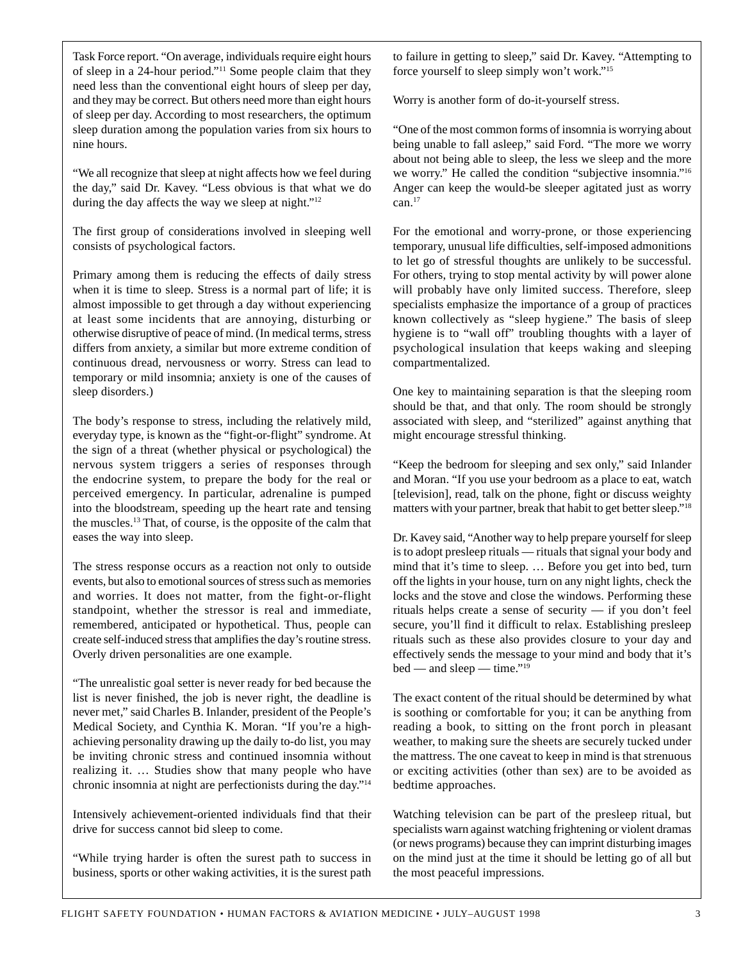Task Force report. "On average, individuals require eight hours of sleep in a 24-hour period."11 Some people claim that they need less than the conventional eight hours of sleep per day, and they may be correct. But others need more than eight hours of sleep per day. According to most researchers, the optimum sleep duration among the population varies from six hours to nine hours.

"We all recognize that sleep at night affects how we feel during the day," said Dr. Kavey. "Less obvious is that what we do during the day affects the way we sleep at night."<sup>12</sup>

The first group of considerations involved in sleeping well consists of psychological factors.

Primary among them is reducing the effects of daily stress when it is time to sleep. Stress is a normal part of life; it is almost impossible to get through a day without experiencing at least some incidents that are annoying, disturbing or otherwise disruptive of peace of mind. (In medical terms, stress differs from anxiety, a similar but more extreme condition of continuous dread, nervousness or worry. Stress can lead to temporary or mild insomnia; anxiety is one of the causes of sleep disorders.)

The body's response to stress, including the relatively mild, everyday type, is known as the "fight-or-flight" syndrome. At the sign of a threat (whether physical or psychological) the nervous system triggers a series of responses through the endocrine system, to prepare the body for the real or perceived emergency. In particular, adrenaline is pumped into the bloodstream, speeding up the heart rate and tensing the muscles.13 That, of course, is the opposite of the calm that eases the way into sleep.

The stress response occurs as a reaction not only to outside events, but also to emotional sources of stress such as memories and worries. It does not matter, from the fight-or-flight standpoint, whether the stressor is real and immediate, remembered, anticipated or hypothetical. Thus, people can create self-induced stress that amplifies the day's routine stress. Overly driven personalities are one example.

"The unrealistic goal setter is never ready for bed because the list is never finished, the job is never right, the deadline is never met," said Charles B. Inlander, president of the People's Medical Society, and Cynthia K. Moran. "If you're a highachieving personality drawing up the daily to-do list, you may be inviting chronic stress and continued insomnia without realizing it. … Studies show that many people who have chronic insomnia at night are perfectionists during the day."14

Intensively achievement-oriented individuals find that their drive for success cannot bid sleep to come.

"While trying harder is often the surest path to success in business, sports or other waking activities, it is the surest path to failure in getting to sleep," said Dr. Kavey. "Attempting to force yourself to sleep simply won't work."15

Worry is another form of do-it-yourself stress.

"One of the most common forms of insomnia is worrying about being unable to fall asleep," said Ford. "The more we worry about not being able to sleep, the less we sleep and the more we worry." He called the condition "subjective insomnia."16 Anger can keep the would-be sleeper agitated just as worry  $can.<sup>17</sup>$ 

For the emotional and worry-prone, or those experiencing temporary, unusual life difficulties, self-imposed admonitions to let go of stressful thoughts are unlikely to be successful. For others, trying to stop mental activity by will power alone will probably have only limited success. Therefore, sleep specialists emphasize the importance of a group of practices known collectively as "sleep hygiene." The basis of sleep hygiene is to "wall off" troubling thoughts with a layer of psychological insulation that keeps waking and sleeping compartmentalized.

One key to maintaining separation is that the sleeping room should be that, and that only. The room should be strongly associated with sleep, and "sterilized" against anything that might encourage stressful thinking.

"Keep the bedroom for sleeping and sex only," said Inlander and Moran. "If you use your bedroom as a place to eat, watch [television], read, talk on the phone, fight or discuss weighty matters with your partner, break that habit to get better sleep."<sup>18</sup>

Dr. Kavey said, "Another way to help prepare yourself for sleep is to adopt presleep rituals — rituals that signal your body and mind that it's time to sleep. … Before you get into bed, turn off the lights in your house, turn on any night lights, check the locks and the stove and close the windows. Performing these rituals helps create a sense of security — if you don't feel secure, you'll find it difficult to relax. Establishing presleep rituals such as these also provides closure to your day and effectively sends the message to your mind and body that it's  $bed$  — and sleep — time."<sup>19</sup>

The exact content of the ritual should be determined by what is soothing or comfortable for you; it can be anything from reading a book, to sitting on the front porch in pleasant weather, to making sure the sheets are securely tucked under the mattress. The one caveat to keep in mind is that strenuous or exciting activities (other than sex) are to be avoided as bedtime approaches.

Watching television can be part of the presleep ritual, but specialists warn against watching frightening or violent dramas (or news programs) because they can imprint disturbing images on the mind just at the time it should be letting go of all but the most peaceful impressions.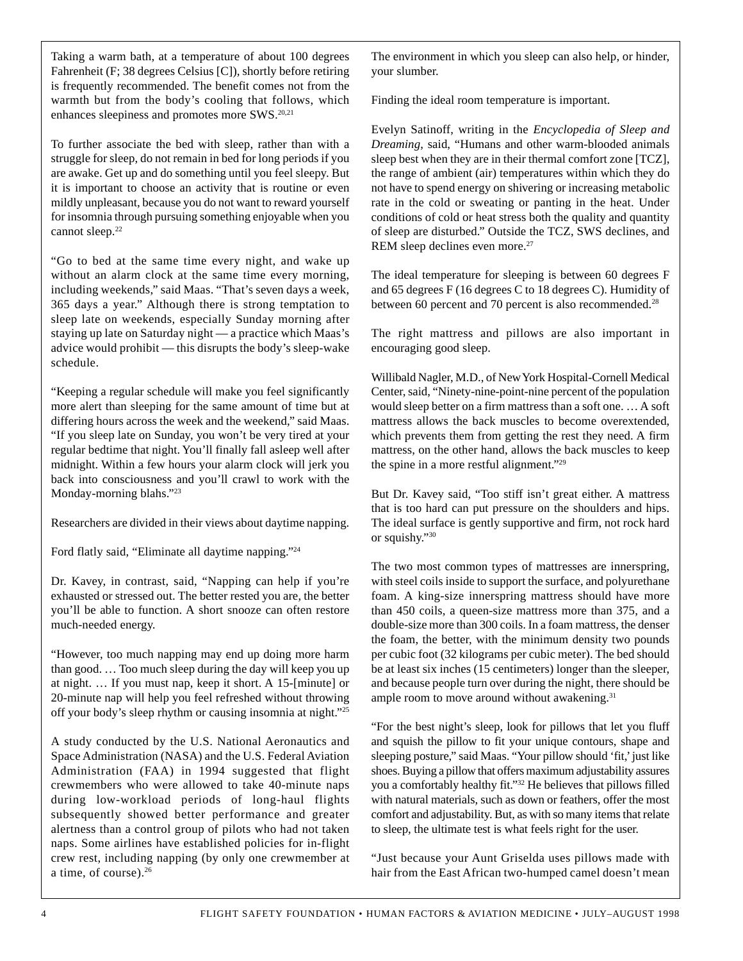Taking a warm bath, at a temperature of about 100 degrees Fahrenheit (F; 38 degrees Celsius [C]), shortly before retiring is frequently recommended. The benefit comes not from the warmth but from the body's cooling that follows, which enhances sleepiness and promotes more SWS.20,21

To further associate the bed with sleep, rather than with a struggle for sleep, do not remain in bed for long periods if you are awake. Get up and do something until you feel sleepy. But it is important to choose an activity that is routine or even mildly unpleasant, because you do not want to reward yourself for insomnia through pursuing something enjoyable when you cannot sleep.<sup>22</sup>

"Go to bed at the same time every night, and wake up without an alarm clock at the same time every morning, including weekends," said Maas. "That's seven days a week, 365 days a year." Although there is strong temptation to sleep late on weekends, especially Sunday morning after staying up late on Saturday night — a practice which Maas's advice would prohibit — this disrupts the body's sleep-wake schedule.

"Keeping a regular schedule will make you feel significantly more alert than sleeping for the same amount of time but at differing hours across the week and the weekend," said Maas. "If you sleep late on Sunday, you won't be very tired at your regular bedtime that night. You'll finally fall asleep well after midnight. Within a few hours your alarm clock will jerk you back into consciousness and you'll crawl to work with the Monday-morning blahs."23

Researchers are divided in their views about daytime napping.

Ford flatly said, "Eliminate all daytime napping."24

Dr. Kavey, in contrast, said, "Napping can help if you're exhausted or stressed out. The better rested you are, the better you'll be able to function. A short snooze can often restore much-needed energy.

"However, too much napping may end up doing more harm than good. … Too much sleep during the day will keep you up at night. … If you must nap, keep it short. A 15-[minute] or 20-minute nap will help you feel refreshed without throwing off your body's sleep rhythm or causing insomnia at night."25

A study conducted by the U.S. National Aeronautics and Space Administration (NASA) and the U.S. Federal Aviation Administration (FAA) in 1994 suggested that flight crewmembers who were allowed to take 40-minute naps during low-workload periods of long-haul flights subsequently showed better performance and greater alertness than a control group of pilots who had not taken naps. Some airlines have established policies for in-flight crew rest, including napping (by only one crewmember at a time, of course).<sup>26</sup>

The environment in which you sleep can also help, or hinder, your slumber.

Finding the ideal room temperature is important.

Evelyn Satinoff, writing in the *Encyclopedia of Sleep and Dreaming*, said, "Humans and other warm-blooded animals sleep best when they are in their thermal comfort zone [TCZ], the range of ambient (air) temperatures within which they do not have to spend energy on shivering or increasing metabolic rate in the cold or sweating or panting in the heat. Under conditions of cold or heat stress both the quality and quantity of sleep are disturbed." Outside the TCZ, SWS declines, and REM sleep declines even more.<sup>27</sup>

The ideal temperature for sleeping is between 60 degrees F and 65 degrees F (16 degrees C to 18 degrees C). Humidity of between 60 percent and 70 percent is also recommended.<sup>28</sup>

The right mattress and pillows are also important in encouraging good sleep.

Willibald Nagler, M.D., of New York Hospital-Cornell Medical Center, said, "Ninety-nine-point-nine percent of the population would sleep better on a firm mattress than a soft one. … A soft mattress allows the back muscles to become overextended, which prevents them from getting the rest they need. A firm mattress, on the other hand, allows the back muscles to keep the spine in a more restful alignment."29

But Dr. Kavey said, "Too stiff isn't great either. A mattress that is too hard can put pressure on the shoulders and hips. The ideal surface is gently supportive and firm, not rock hard or squishy."30

The two most common types of mattresses are innerspring, with steel coils inside to support the surface, and polyurethane foam. A king-size innerspring mattress should have more than 450 coils, a queen-size mattress more than 375, and a double-size more than 300 coils. In a foam mattress, the denser the foam, the better, with the minimum density two pounds per cubic foot (32 kilograms per cubic meter). The bed should be at least six inches (15 centimeters) longer than the sleeper, and because people turn over during the night, there should be ample room to move around without awakening.<sup>31</sup>

"For the best night's sleep, look for pillows that let you fluff and squish the pillow to fit your unique contours, shape and sleeping posture," said Maas. "Your pillow should 'fit,' just like shoes. Buying a pillow that offers maximum adjustability assures you a comfortably healthy fit."32 He believes that pillows filled with natural materials, such as down or feathers, offer the most comfort and adjustability. But, as with so many items that relate to sleep, the ultimate test is what feels right for the user.

"Just because your Aunt Griselda uses pillows made with hair from the East African two-humped camel doesn't mean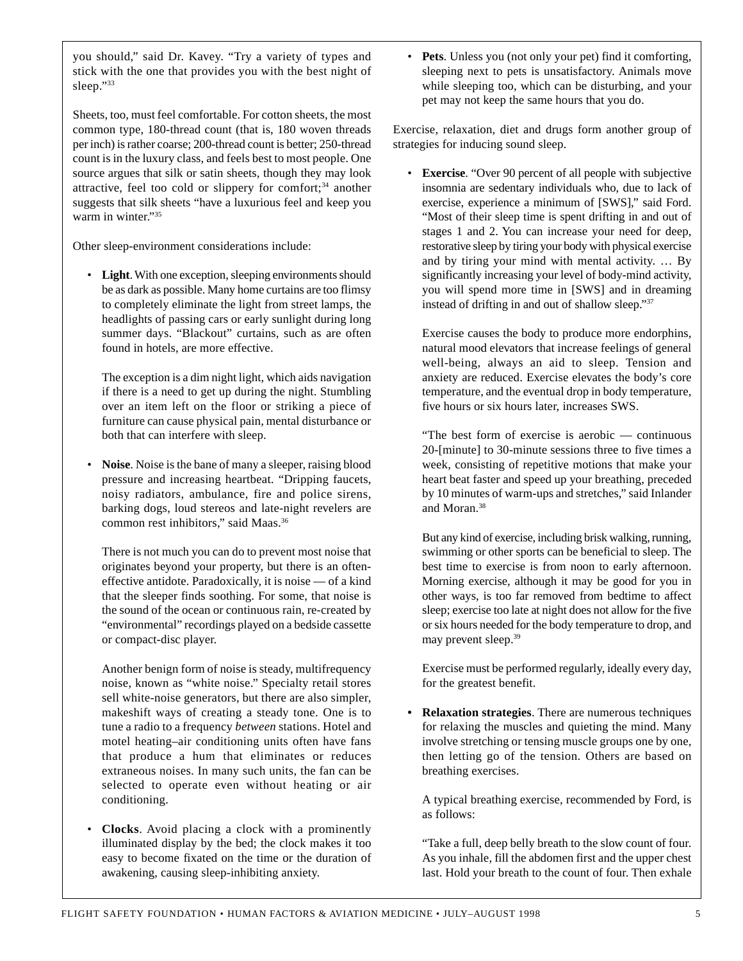you should," said Dr. Kavey. "Try a variety of types and stick with the one that provides you with the best night of sleep."33

Sheets, too, must feel comfortable. For cotton sheets, the most common type, 180-thread count (that is, 180 woven threads per inch) is rather coarse; 200-thread count is better; 250-thread count is in the luxury class, and feels best to most people. One source argues that silk or satin sheets, though they may look attractive, feel too cold or slippery for comfort;34 another suggests that silk sheets "have a luxurious feel and keep you warm in winter."35

Other sleep-environment considerations include:

• **Light**. With one exception, sleeping environments should be as dark as possible. Many home curtains are too flimsy to completely eliminate the light from street lamps, the headlights of passing cars or early sunlight during long summer days. "Blackout" curtains, such as are often found in hotels, are more effective.

The exception is a dim night light, which aids navigation if there is a need to get up during the night. Stumbling over an item left on the floor or striking a piece of furniture can cause physical pain, mental disturbance or both that can interfere with sleep.

• **Noise**. Noise is the bane of many a sleeper, raising blood pressure and increasing heartbeat. "Dripping faucets, noisy radiators, ambulance, fire and police sirens, barking dogs, loud stereos and late-night revelers are common rest inhibitors," said Maas.36

There is not much you can do to prevent most noise that originates beyond your property, but there is an ofteneffective antidote. Paradoxically, it is noise — of a kind that the sleeper finds soothing. For some, that noise is the sound of the ocean or continuous rain, re-created by "environmental" recordings played on a bedside cassette or compact-disc player.

Another benign form of noise is steady, multifrequency noise, known as "white noise." Specialty retail stores sell white-noise generators, but there are also simpler, makeshift ways of creating a steady tone. One is to tune a radio to a frequency *between* stations. Hotel and motel heating–air conditioning units often have fans that produce a hum that eliminates or reduces extraneous noises. In many such units, the fan can be selected to operate even without heating or air conditioning.

• **Clocks**. Avoid placing a clock with a prominently illuminated display by the bed; the clock makes it too easy to become fixated on the time or the duration of awakening, causing sleep-inhibiting anxiety.

**Pets**. Unless you (not only your pet) find it comforting, sleeping next to pets is unsatisfactory. Animals move while sleeping too, which can be disturbing, and your pet may not keep the same hours that you do.

Exercise, relaxation, diet and drugs form another group of strategies for inducing sound sleep.

• **Exercise**. "Over 90 percent of all people with subjective insomnia are sedentary individuals who, due to lack of exercise, experience a minimum of [SWS]," said Ford. "Most of their sleep time is spent drifting in and out of stages 1 and 2. You can increase your need for deep, restorative sleep by tiring your body with physical exercise and by tiring your mind with mental activity. … By significantly increasing your level of body-mind activity, you will spend more time in [SWS] and in dreaming instead of drifting in and out of shallow sleep."37

Exercise causes the body to produce more endorphins, natural mood elevators that increase feelings of general well-being, always an aid to sleep. Tension and anxiety are reduced. Exercise elevates the body's core temperature, and the eventual drop in body temperature, five hours or six hours later, increases SWS.

"The best form of exercise is aerobic — continuous 20-[minute] to 30-minute sessions three to five times a week, consisting of repetitive motions that make your heart beat faster and speed up your breathing, preceded by 10 minutes of warm-ups and stretches," said Inlander and Moran.38

But any kind of exercise, including brisk walking, running, swimming or other sports can be beneficial to sleep. The best time to exercise is from noon to early afternoon. Morning exercise, although it may be good for you in other ways, is too far removed from bedtime to affect sleep; exercise too late at night does not allow for the five or six hours needed for the body temperature to drop, and may prevent sleep.39

Exercise must be performed regularly, ideally every day, for the greatest benefit.

**• Relaxation strategies**. There are numerous techniques for relaxing the muscles and quieting the mind. Many involve stretching or tensing muscle groups one by one, then letting go of the tension. Others are based on breathing exercises.

A typical breathing exercise, recommended by Ford, is as follows:

"Take a full, deep belly breath to the slow count of four. As you inhale, fill the abdomen first and the upper chest last. Hold your breath to the count of four. Then exhale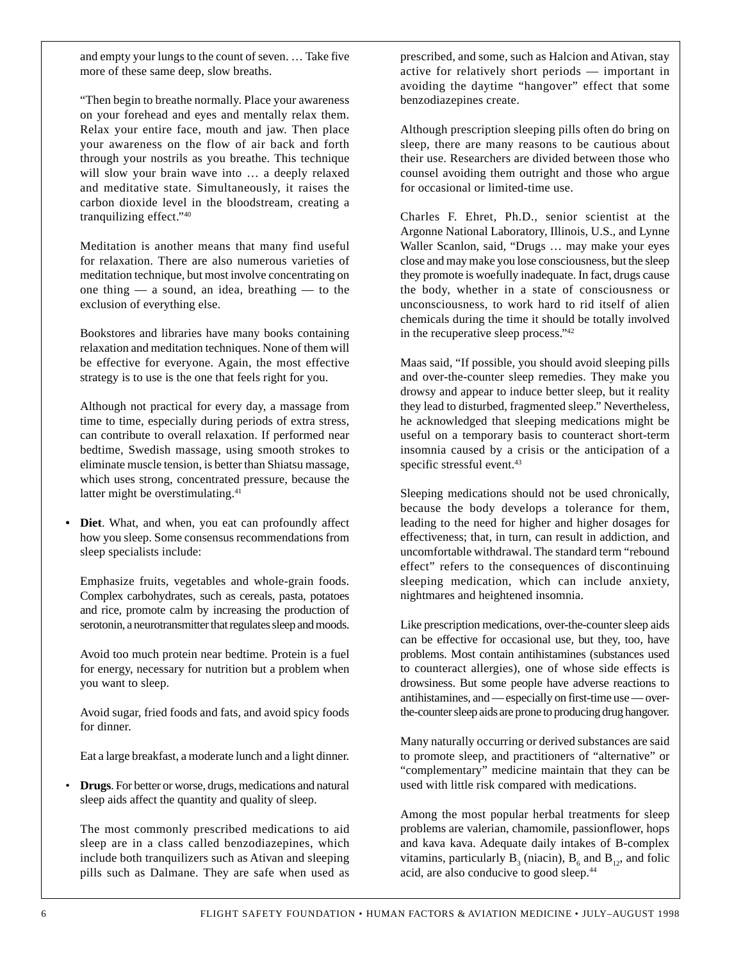and empty your lungs to the count of seven. … Take five more of these same deep, slow breaths.

"Then begin to breathe normally. Place your awareness on your forehead and eyes and mentally relax them. Relax your entire face, mouth and jaw. Then place your awareness on the flow of air back and forth through your nostrils as you breathe. This technique will slow your brain wave into … a deeply relaxed and meditative state. Simultaneously, it raises the carbon dioxide level in the bloodstream, creating a tranquilizing effect."40

Meditation is another means that many find useful for relaxation. There are also numerous varieties of meditation technique, but most involve concentrating on one thing — a sound, an idea, breathing — to the exclusion of everything else.

Bookstores and libraries have many books containing relaxation and meditation techniques. None of them will be effective for everyone. Again, the most effective strategy is to use is the one that feels right for you.

Although not practical for every day, a massage from time to time, especially during periods of extra stress, can contribute to overall relaxation. If performed near bedtime, Swedish massage, using smooth strokes to eliminate muscle tension, is better than Shiatsu massage, which uses strong, concentrated pressure, because the latter might be overstimulating.<sup>41</sup>

**• Diet**. What, and when, you eat can profoundly affect how you sleep. Some consensus recommendations from sleep specialists include:

Emphasize fruits, vegetables and whole-grain foods. Complex carbohydrates, such as cereals, pasta, potatoes and rice, promote calm by increasing the production of serotonin, a neurotransmitter that regulates sleep and moods.

Avoid too much protein near bedtime. Protein is a fuel for energy, necessary for nutrition but a problem when you want to sleep.

Avoid sugar, fried foods and fats, and avoid spicy foods for dinner.

Eat a large breakfast, a moderate lunch and a light dinner.

• **Drugs**. For better or worse, drugs, medications and natural sleep aids affect the quantity and quality of sleep.

The most commonly prescribed medications to aid sleep are in a class called benzodiazepines, which include both tranquilizers such as Ativan and sleeping pills such as Dalmane. They are safe when used as

prescribed, and some, such as Halcion and Ativan, stay active for relatively short periods — important in avoiding the daytime "hangover" effect that some benzodiazepines create.

Although prescription sleeping pills often do bring on sleep, there are many reasons to be cautious about their use. Researchers are divided between those who counsel avoiding them outright and those who argue for occasional or limited-time use.

Charles F. Ehret, Ph.D., senior scientist at the Argonne National Laboratory, Illinois, U.S., and Lynne Waller Scanlon, said, "Drugs … may make your eyes close and may make you lose consciousness, but the sleep they promote is woefully inadequate. In fact, drugs cause the body, whether in a state of consciousness or unconsciousness, to work hard to rid itself of alien chemicals during the time it should be totally involved in the recuperative sleep process."42

Maas said, "If possible, you should avoid sleeping pills and over-the-counter sleep remedies. They make you drowsy and appear to induce better sleep, but it reality they lead to disturbed, fragmented sleep." Nevertheless, he acknowledged that sleeping medications might be useful on a temporary basis to counteract short-term insomnia caused by a crisis or the anticipation of a specific stressful event.<sup>43</sup>

Sleeping medications should not be used chronically, because the body develops a tolerance for them, leading to the need for higher and higher dosages for effectiveness; that, in turn, can result in addiction, and uncomfortable withdrawal. The standard term "rebound effect" refers to the consequences of discontinuing sleeping medication, which can include anxiety, nightmares and heightened insomnia.

Like prescription medications, over-the-counter sleep aids can be effective for occasional use, but they, too, have problems. Most contain antihistamines (substances used to counteract allergies), one of whose side effects is drowsiness. But some people have adverse reactions to antihistamines, and — especially on first-time use — overthe-counter sleep aids are prone to producing drug hangover.

Many naturally occurring or derived substances are said to promote sleep, and practitioners of "alternative" or "complementary" medicine maintain that they can be used with little risk compared with medications.

Among the most popular herbal treatments for sleep problems are valerian, chamomile, passionflower, hops and kava kava. Adequate daily intakes of B-complex vitamins, particularly  $B_3$  (niacin),  $B_6$  and  $B_{12}$ , and folic acid, are also conducive to good sleep.44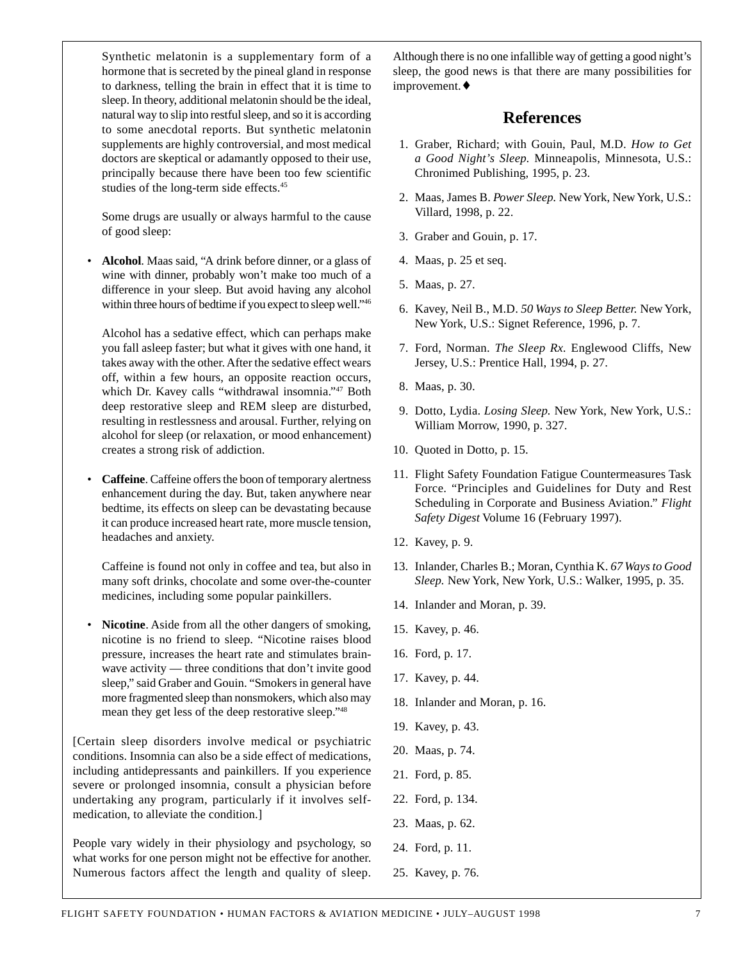Synthetic melatonin is a supplementary form of a hormone that is secreted by the pineal gland in response to darkness, telling the brain in effect that it is time to sleep. In theory, additional melatonin should be the ideal, natural way to slip into restful sleep, and so it is according to some anecdotal reports. But synthetic melatonin supplements are highly controversial, and most medical doctors are skeptical or adamantly opposed to their use, principally because there have been too few scientific studies of the long-term side effects.45

Some drugs are usually or always harmful to the cause of good sleep:

• **Alcohol**. Maas said, "A drink before dinner, or a glass of wine with dinner, probably won't make too much of a difference in your sleep. But avoid having any alcohol within three hours of bedtime if you expect to sleep well."46

Alcohol has a sedative effect, which can perhaps make you fall asleep faster; but what it gives with one hand, it takes away with the other. After the sedative effect wears off, within a few hours, an opposite reaction occurs, which Dr. Kavey calls "withdrawal insomnia."47 Both deep restorative sleep and REM sleep are disturbed, resulting in restlessness and arousal. Further, relying on alcohol for sleep (or relaxation, or mood enhancement) creates a strong risk of addiction.

• **Caffeine**. Caffeine offers the boon of temporary alertness enhancement during the day. But, taken anywhere near bedtime, its effects on sleep can be devastating because it can produce increased heart rate, more muscle tension, headaches and anxiety.

Caffeine is found not only in coffee and tea, but also in many soft drinks, chocolate and some over-the-counter medicines, including some popular painkillers.

• **Nicotine**. Aside from all the other dangers of smoking, nicotine is no friend to sleep. "Nicotine raises blood pressure, increases the heart rate and stimulates brainwave activity — three conditions that don't invite good sleep," said Graber and Gouin. "Smokers in general have more fragmented sleep than nonsmokers, which also may mean they get less of the deep restorative sleep."48

[Certain sleep disorders involve medical or psychiatric conditions. Insomnia can also be a side effect of medications, including antidepressants and painkillers. If you experience severe or prolonged insomnia, consult a physician before undertaking any program, particularly if it involves selfmedication, to alleviate the condition.]

People vary widely in their physiology and psychology, so what works for one person might not be effective for another. Numerous factors affect the length and quality of sleep. Although there is no one infallible way of getting a good night's sleep, the good news is that there are many possibilities for improvement.♦

## **References**

- 1. Graber, Richard; with Gouin, Paul, M.D. *How to Get a Good Night's Sleep.* Minneapolis, Minnesota, U.S.: Chronimed Publishing, 1995, p. 23.
- 2. Maas, James B. *Power Sleep.* New York, New York, U.S.: Villard, 1998, p. 22.
- 3. Graber and Gouin, p. 17.
- 4. Maas, p. 25 et seq.
- 5. Maas, p. 27.
- 6. Kavey, Neil B., M.D. *50 Ways to Sleep Better.* New York, New York, U.S.: Signet Reference, 1996, p. 7.
- 7. Ford, Norman. *The Sleep Rx.* Englewood Cliffs, New Jersey, U.S.: Prentice Hall, 1994, p. 27.
- 8. Maas, p. 30.
- 9. Dotto, Lydia. *Losing Sleep.* New York, New York, U.S.: William Morrow, 1990, p. 327.
- 10. Quoted in Dotto, p. 15.
- 11. Flight Safety Foundation Fatigue Countermeasures Task Force. "Principles and Guidelines for Duty and Rest Scheduling in Corporate and Business Aviation." *Flight Safety Digest* Volume 16 (February 1997).
- 12. Kavey, p. 9.
- 13. Inlander, Charles B.; Moran, Cynthia K. *67 Ways to Good Sleep.* New York, New York, U.S.: Walker, 1995, p. 35.
- 14. Inlander and Moran, p. 39.
- 15. Kavey, p. 46.
- 16. Ford, p. 17.
- 17. Kavey, p. 44.
- 18. Inlander and Moran, p. 16.
- 19. Kavey, p. 43.
- 20. Maas, p. 74.
- 21. Ford, p. 85.
- 22. Ford, p. 134.
- 23. Maas, p. 62.
- 24. Ford, p. 11.
- 25. Kavey, p. 76.